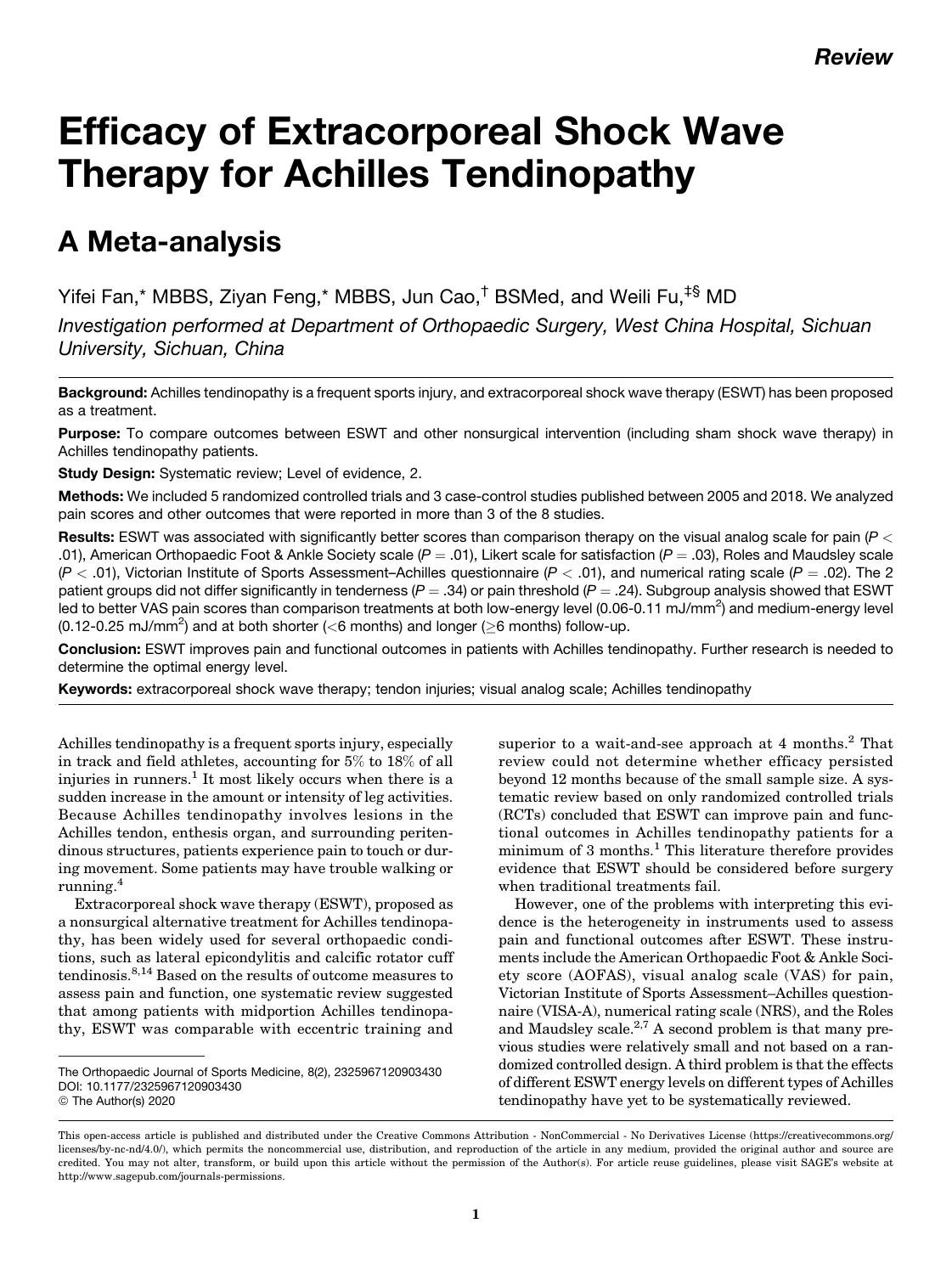# Efficacy of Extracorporeal Shock Wave Therapy for Achilles Tendinopathy

# A Meta-analysis

Yifei Fan,\* MBBS, Ziyan Feng,\* MBBS, Jun Cao,† BSMed, and Weili Fu,‡§ MD

Investigation performed at Department of Orthopaedic Surgery, West China Hospital, Sichuan University, Sichuan, China

Background: Achilles tendinopathy is a frequent sports injury, and extracorporeal shock wave therapy (ESWT) has been proposed as a treatment.

Purpose: To compare outcomes between ESWT and other nonsurgical intervention (including sham shock wave therapy) in Achilles tendinopathy patients.

Study Design: Systematic review; Level of evidence, 2.

Methods: We included 5 randomized controlled trials and 3 case-control studies published between 2005 and 2018. We analyzed pain scores and other outcomes that were reported in more than 3 of the 8 studies.

Results: ESWT was associated with significantly better scores than comparison therapy on the visual analog scale for pain  $(P <$ .01), American Orthopaedic Foot & Ankle Society scale ( $P = .01$ ), Likert scale for satisfaction ( $P = .03$ ), Roles and Maudsley scale  $(P < .01)$ , Victorian Institute of Sports Assessment–Achilles questionnaire  $(P < .01)$ , and numerical rating scale  $(P = .02)$ . The 2 patient groups did not differ significantly in tenderness ( $P = .34$ ) or pain threshold ( $P = .24$ ). Subgroup analysis showed that ESWT led to better VAS pain scores than comparison treatments at both low-energy level (0.06-0.11 mJ/mm<sup>2</sup>) and medium-energy level (0.12-0.25 mJ/mm<sup>2</sup>) and at both shorter (<6 months) and longer ( $\geq$ 6 months) follow-up.

Conclusion: ESWT improves pain and functional outcomes in patients with Achilles tendinopathy. Further research is needed to determine the optimal energy level.

Keywords: extracorporeal shock wave therapy; tendon injuries; visual analog scale; Achilles tendinopathy

Achilles tendinopathy is a frequent sports injury, especially in track and field athletes, accounting for 5% to 18% of all injuries in runners.<sup>1</sup> It most likely occurs when there is a sudden increase in the amount or intensity of leg activities. Because Achilles tendinopathy involves lesions in the Achilles tendon, enthesis organ, and surrounding peritendinous structures, patients experience pain to touch or during movement. Some patients may have trouble walking or running.<sup>4</sup>

Extracorporeal shock wave therapy (ESWT), proposed as a nonsurgical alternative treatment for Achilles tendinopathy, has been widely used for several orthopaedic conditions, such as lateral epicondylitis and calcific rotator cuff tendinosis.8,14 Based on the results of outcome measures to assess pain and function, one systematic review suggested that among patients with midportion Achilles tendinopathy, ESWT was comparable with eccentric training and

superior to a wait-and-see approach at 4 months.<sup>2</sup> That review could not determine whether efficacy persisted beyond 12 months because of the small sample size. A systematic review based on only randomized controlled trials (RCTs) concluded that ESWT can improve pain and functional outcomes in Achilles tendinopathy patients for a minimum of 3 months.<sup>1</sup> This literature therefore provides evidence that ESWT should be considered before surgery when traditional treatments fail.

However, one of the problems with interpreting this evidence is the heterogeneity in instruments used to assess pain and functional outcomes after ESWT. These instruments include the American Orthopaedic Foot & Ankle Society score (AOFAS), visual analog scale (VAS) for pain, Victorian Institute of Sports Assessment–Achilles questionnaire (VISA-A), numerical rating scale (NRS), and the Roles and Maudsley scale. $^{2,7}$  A second problem is that many previous studies were relatively small and not based on a randomized controlled design. A third problem is that the effects of different ESWT energy levels on different types of Achilles tendinopathy have yet to be systematically reviewed.

The Orthopaedic Journal of Sports Medicine, 8(2), 2325967120903430 [DOI: 10.1177/2325967120903430](https://doi.org/10.1177/2325967120903430) © The Author(s) 2020

This open-access article is published and distributed under the Creative Commons Attribution - NonCommercial - No Derivatives License [\(https://creativecommons.org/](https://creativecommons.org/licenses/by-nc-nd/4.0/) [licenses/by-nc-nd/4.0/\)](https://creativecommons.org/licenses/by-nc-nd/4.0/), which permits the noncommercial use, distribution, and reproduction of the article in any medium, provided the original author and source are credited. You may not alter, transform, or build upon this article without the permission of the Author(s). For article reuse guidelines, please visit SAGE's website at http://www.sagepub.com/journals-permissions.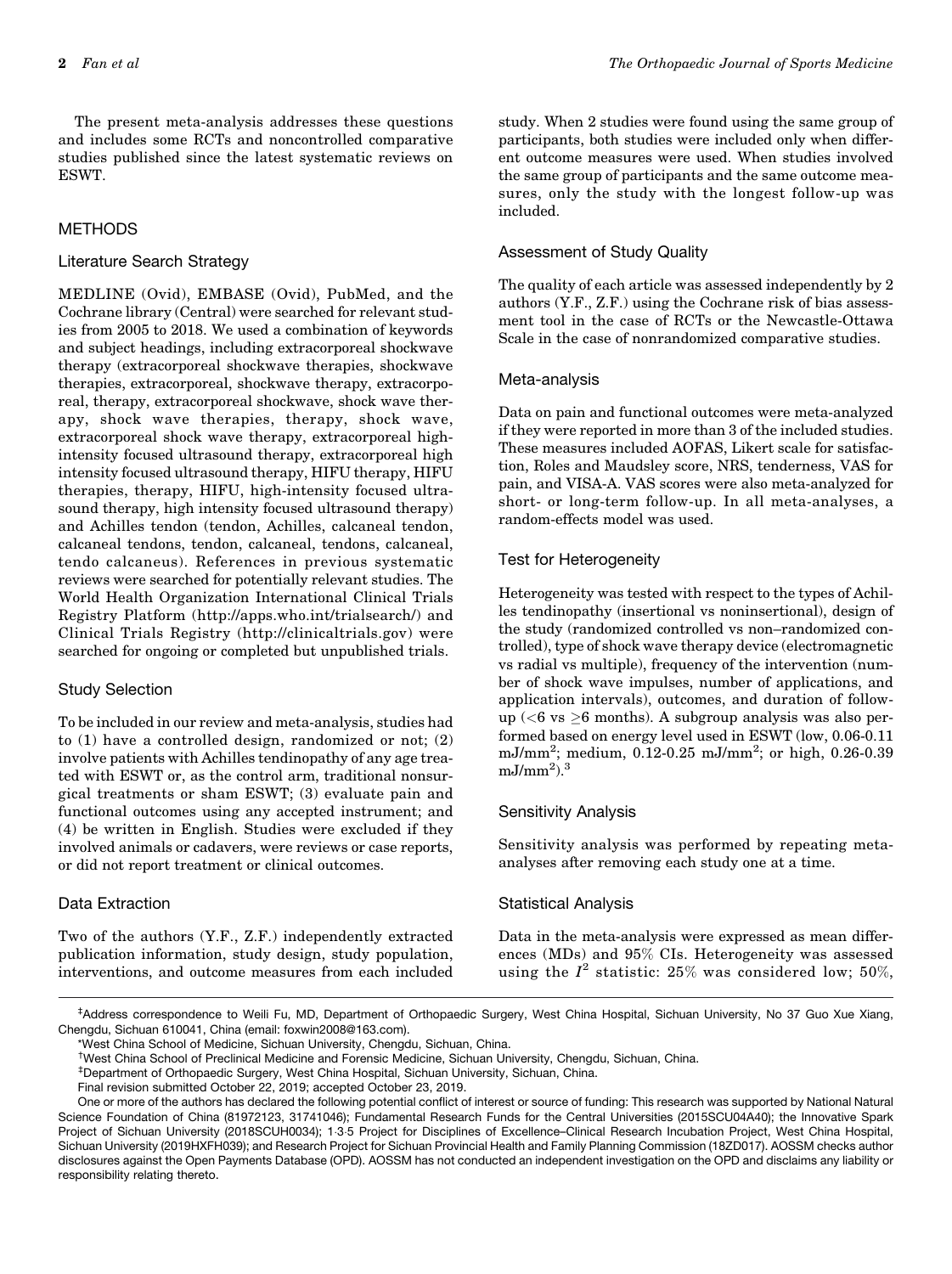The present meta-analysis addresses these questions and includes some RCTs and noncontrolled comparative studies published since the latest systematic reviews on ESWT.

# **METHODS**

### Literature Search Strategy

MEDLINE (Ovid), EMBASE (Ovid), PubMed, and the Cochrane library (Central) were searched for relevant studies from 2005 to 2018. We used a combination of keywords and subject headings, including extracorporeal shockwave therapy (extracorporeal shockwave therapies, shockwave therapies, extracorporeal, shockwave therapy, extracorporeal, therapy, extracorporeal shockwave, shock wave therapy, shock wave therapies, therapy, shock wave, extracorporeal shock wave therapy, extracorporeal highintensity focused ultrasound therapy, extracorporeal high intensity focused ultrasound therapy, HIFU therapy, HIFU therapies, therapy, HIFU, high-intensity focused ultrasound therapy, high intensity focused ultrasound therapy) and Achilles tendon (tendon, Achilles, calcaneal tendon, calcaneal tendons, tendon, calcaneal, tendons, calcaneal, tendo calcaneus). References in previous systematic reviews were searched for potentially relevant studies. The World Health Organization International Clinical Trials Registry Platform [\(http://apps.who.int/trialsearch/\)](http://apps.who.int/trialsearch/) and Clinical Trials Registry (<http://clinicaltrials.gov>) were searched for ongoing or completed but unpublished trials.

#### Study Selection

To be included in our review and meta-analysis, studies had to (1) have a controlled design, randomized or not; (2) involve patients with Achilles tendinopathy of any age treated with ESWT or, as the control arm, traditional nonsurgical treatments or sham ESWT; (3) evaluate pain and functional outcomes using any accepted instrument; and (4) be written in English. Studies were excluded if they involved animals or cadavers, were reviews or case reports, or did not report treatment or clinical outcomes.

# Data Extraction

Two of the authors (Y.F., Z.F.) independently extracted publication information, study design, study population, interventions, and outcome measures from each included study. When 2 studies were found using the same group of participants, both studies were included only when different outcome measures were used. When studies involved the same group of participants and the same outcome measures, only the study with the longest follow-up was included.

# Assessment of Study Quality

The quality of each article was assessed independently by 2 authors (Y.F., Z.F.) using the Cochrane risk of bias assessment tool in the case of RCTs or the Newcastle-Ottawa Scale in the case of nonrandomized comparative studies.

# Meta-analysis

Data on pain and functional outcomes were meta-analyzed if they were reported in more than 3 of the included studies. These measures included AOFAS, Likert scale for satisfaction, Roles and Maudsley score, NRS, tenderness, VAS for pain, and VISA-A. VAS scores were also meta-analyzed for short- or long-term follow-up. In all meta-analyses, a random-effects model was used.

# Test for Heterogeneity

Heterogeneity was tested with respect to the types of Achilles tendinopathy (insertional vs noninsertional), design of the study (randomized controlled vs non–randomized controlled), type of shock wave therapy device (electromagnetic vs radial vs multiple), frequency of the intervention (number of shock wave impulses, number of applications, and application intervals), outcomes, and duration of followup ( $<$ 6 vs  $\geq$ 6 months). A subgroup analysis was also performed based on energy level used in ESWT (low, 0.06-0.11 mJ/mm<sup>2</sup>; medium, 0.12-0.25 mJ/mm<sup>2</sup>; or high, 0.26-0.39  $mJ/mm<sup>2</sup>$ ).<sup>3</sup>

# Sensitivity Analysis

Sensitivity analysis was performed by repeating metaanalyses after removing each study one at a time.

# Statistical Analysis

Data in the meta-analysis were expressed as mean differences (MDs) and 95% CIs. Heterogeneity was assessed using the  $I^2$  statistic: 25% was considered low; 50%,

‡ Address correspondence to Weili Fu, MD, Department of Orthopaedic Surgery, West China Hospital, Sichuan University, No 37 Guo Xue Xiang, Chengdu, Sichuan 610041, China (email: [foxwin2008@163.com\)](mailto:foxwin2008@163.com).

\*West China School of Medicine, Sichuan University, Chengdu, Sichuan, China.

Final revision submitted October 22, 2019; accepted October 23, 2019.

<sup>†</sup> West China School of Preclinical Medicine and Forensic Medicine, Sichuan University, Chengdu, Sichuan, China.

<sup>‡</sup> Department of Orthopaedic Surgery, West China Hospital, Sichuan University, Sichuan, China.

One or more of the authors has declared the following potential conflict of interest or source of funding: This research was supported by National Natural Science Foundation of China (81972123, 31741046); Fundamental Research Funds for the Central Universities (2015SCU04A40); the Innovative Spark Project of Sichuan University (2018SCUH0034); 135 Project for Disciplines of Excellence–Clinical Research Incubation Project, West China Hospital, Sichuan University (2019HXFH039); and Research Project for Sichuan Provincial Health and Family Planning Commission (18ZD017). AOSSM checks author disclosures against the Open Payments Database (OPD). AOSSM has not conducted an independent investigation on the OPD and disclaims any liability or responsibility relating thereto.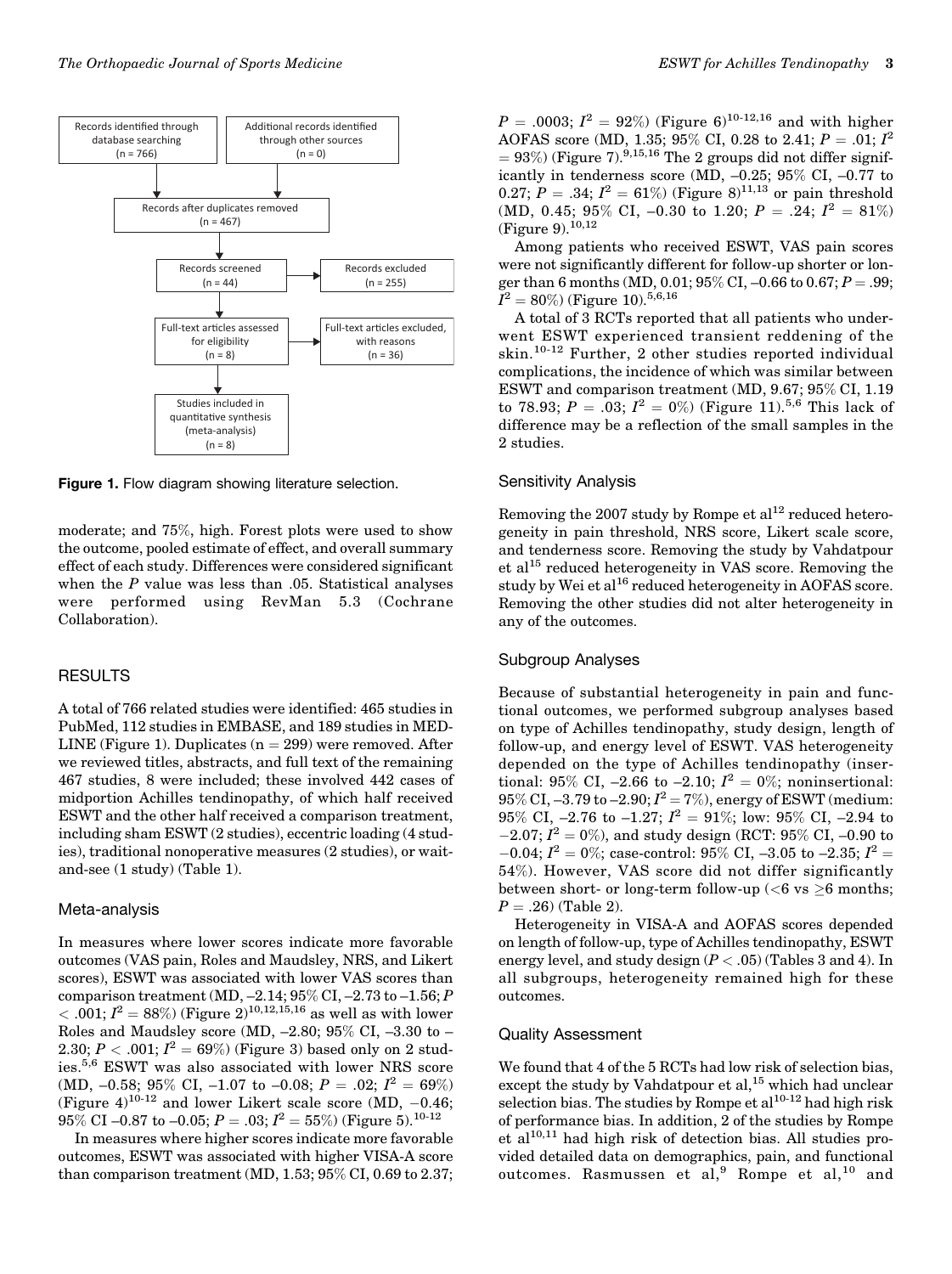

**Figure 1.** Flow diagram showing literature selection.

moderate; and 75%, high. Forest plots were used to show the outcome, pooled estimate of effect, and overall summary effect of each study. Differences were considered significant when the  $P$  value was less than  $.05$ . Statistical analyses were performed using RevMan 5.3 (Cochrane Collaboration).

#### RESULTS

A total of 766 related studies were identified: 465 studies in PubMed, 112 studies in EMBASE, and 189 studies in MED-LINE (Figure 1). Duplicates  $(n = 299)$  were removed. After we reviewed titles, abstracts, and full text of the remaining 467 studies, 8 were included; these involved 442 cases of midportion Achilles tendinopathy, of which half received ESWT and the other half received a comparison treatment, including sham ESWT (2 studies), eccentric loading (4 studies), traditional nonoperative measures (2 studies), or waitand-see (1 study) (Table 1).

#### Meta-analysis

In measures where lower scores indicate more favorable outcomes (VAS pain, Roles and Maudsley, NRS, and Likert scores), ESWT was associated with lower VAS scores than comparison treatment (MD, –2.14; 95% CI, –2.73 to –1.56; P  $< .001; I<sup>2</sup> = 88\%)$  (Figure 2)<sup>10,12,15,16</sup> as well as with lower Roles and Maudsley score (MD, –2.80; 95% CI, –3.30 to – 2.30;  $P < .001; I^2 = 69\%$ ) (Figure 3) based only on 2 studies.5,6 ESWT was also associated with lower NRS score (MD, -0.58; 95% CI, -1.07 to -0.08;  $P = .02; I^2 = 69\%$ ) (Figure  $4$ )<sup>10-12</sup> and lower Likert scale score (MD, -0.46;  $95\%$  CI –0.87 to –0.05;  $P = .03; I^2 = 55\%$ ) (Figure 5). $^{10\text{-}12}$ 

In measures where higher scores indicate more favorable outcomes, ESWT was associated with higher VISA-A score than comparison treatment (MD, 1.53; 95% CI, 0.69 to 2.37;

 $P = .0003; I<sup>2</sup> = 92%)$  (Figure 6)<sup>10-12,16</sup> and with higher AOFAS score (MD, 1.35; 95% CI, 0.28 to 2.41;  $P = .01; I^2$  $= 93\%$ ) (Figure 7).<sup>9,15,16</sup> The 2 groups did not differ significantly in tenderness score (MD, –0.25; 95% CI, –0.77 to 0.27;  $P = .34$ ;  $I^2 = 61\%$ ) (Figure 8)<sup>11,13</sup> or pain threshold (MD, 0.45; 95% CI, -0.30 to 1.20;  $P = .24$ ;  $I^2 = 81\%$ ) (Figure 9).<sup>10,12</sup>

Among patients who received ESWT, VAS pain scores were not significantly different for follow-up shorter or longer than 6 months (MD, 0.01;  $95\%$  CI, –0.66 to 0.67;  $P =$  .99;  $\tilde{I}^2=80\%$ ) (Figure 10). $^{5,6,16}$ 

A total of 3 RCTs reported that all patients who underwent ESWT experienced transient reddening of the skin.10-12 Further, 2 other studies reported individual complications, the incidence of which was similar between ESWT and comparison treatment (MD, 9.67; 95% CI, 1.19 to 78.93;  $P = .03; I^2 = 0\%$  (Figure 11).<sup>5,6</sup> This lack of difference may be a reflection of the small samples in the 2 studies.

#### Sensitivity Analysis

Removing the 2007 study by Rompe et al<sup>12</sup> reduced heterogeneity in pain threshold, NRS score, Likert scale score, and tenderness score. Removing the study by Vahdatpour et al<sup>15</sup> reduced heterogeneity in VAS score. Removing the study by Wei et al<sup>16</sup> reduced heterogeneity in AOFAS score. Removing the other studies did not alter heterogeneity in any of the outcomes.

#### Subgroup Analyses

Because of substantial heterogeneity in pain and functional outcomes, we performed subgroup analyses based on type of Achilles tendinopathy, study design, length of follow-up, and energy level of ESWT. VAS heterogeneity depended on the type of Achilles tendinopathy (insertional: 95% CI, -2.66 to -2.10;  $I^2 = 0$ %; noninsertional:  $95\%$  CI, –3.79 to –2.90;  $I^2$  = 7%), energy of ESWT (medium: 95% CI,  $-2.76$  to  $-1.27$ ;  $I^2 = 91\%$ ; low: 95% CI,  $-2.94$  to  $-2.07; I<sup>2</sup> = 0$ %), and study design (RCT: 95% CI, -0.90 to  $-0.04;$   $I^2=0\%;$  case-control:  $95\%$  CI,  $-3.05$  to  $-2.35;$   $I^2=$ 54%). However, VAS score did not differ significantly between short- or long-term follow-up (<6 vs  $\geq$ 6 months;  $P = .26$ ) (Table 2).

Heterogeneity in VISA-A and AOFAS scores depended on length of follow-up, type of Achilles tendinopathy, ESWT energy level, and study design  $(P < .05)$  (Tables 3 and 4). In all subgroups, heterogeneity remained high for these outcomes.

#### Quality Assessment

We found that 4 of the 5 RCTs had low risk of selection bias, except the study by Vahdatpour et al,<sup>15</sup> which had unclear selection bias. The studies by Rompe et al $^{10-12}$  had high risk of performance bias. In addition, 2 of the studies by Rompe et al<sup>10,11</sup> had high risk of detection bias. All studies provided detailed data on demographics, pain, and functional outcomes. Rasmussen et al,<sup>9</sup> Rompe et al,<sup>10</sup> and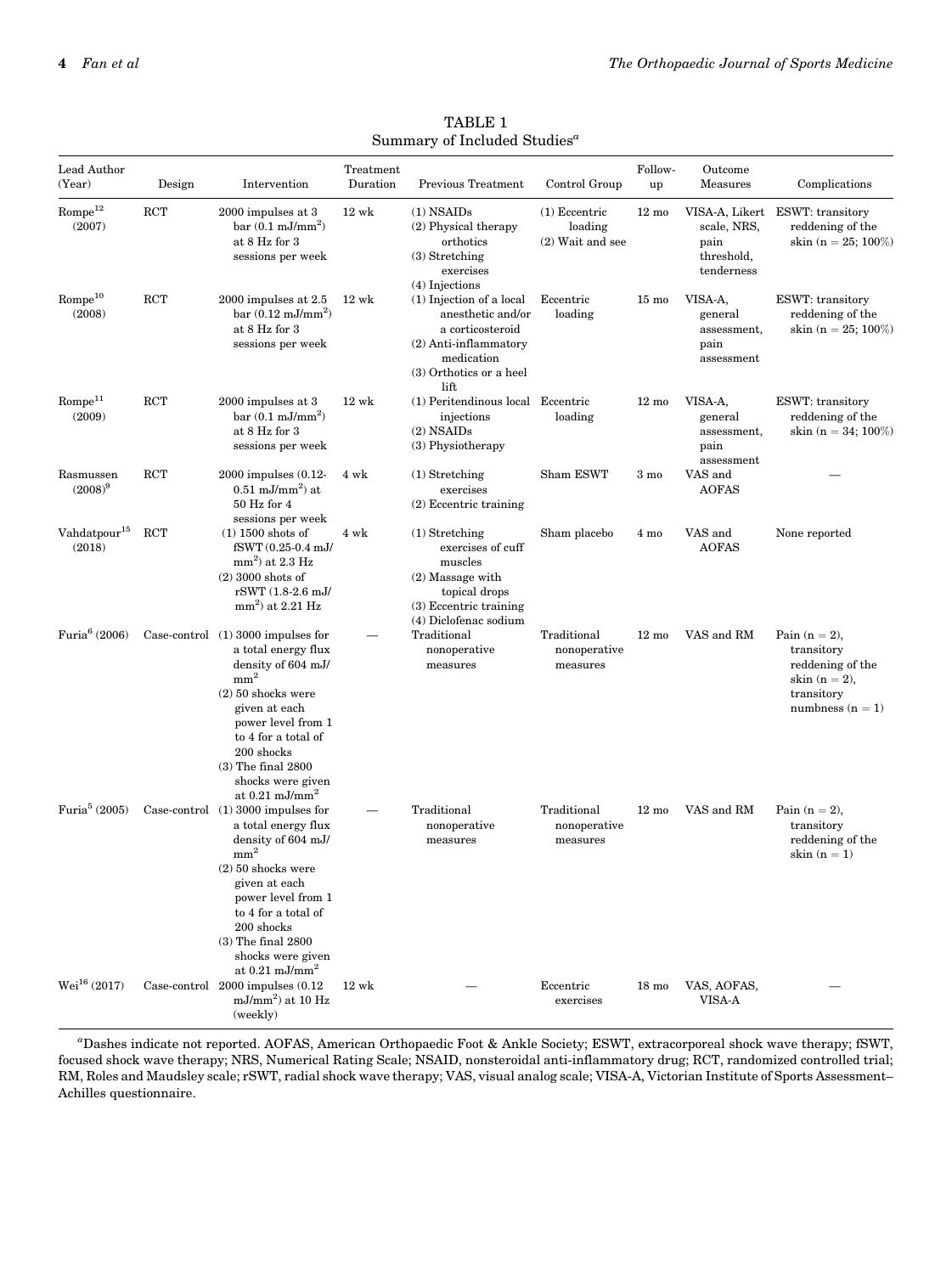| Lead Author                        |            |                                                                                                                                                                                                                                                                                    | Treatment       | Dunimaly of Included Duddles                                                                                                                    |                                                  | Follow-         | Outcome                                                 |                                                                                                           |
|------------------------------------|------------|------------------------------------------------------------------------------------------------------------------------------------------------------------------------------------------------------------------------------------------------------------------------------------|-----------------|-------------------------------------------------------------------------------------------------------------------------------------------------|--------------------------------------------------|-----------------|---------------------------------------------------------|-----------------------------------------------------------------------------------------------------------|
| (Year)                             | Design     | Intervention                                                                                                                                                                                                                                                                       | Duration        | Previous Treatment                                                                                                                              | Control Group                                    | up              | Measures                                                | Complications                                                                                             |
| $\mbox{Rome}^{12}$<br>(2007)       | <b>RCT</b> | 2000 impulses at 3<br>bar $(0.1 \text{ mJ/mm}^2)$<br>at 8 Hz for 3<br>sessions per week                                                                                                                                                                                            | $12 \text{ wk}$ | $(1)$ NSAIDs<br>(2) Physical therapy<br>orthotics<br>$(3)$ Stretching<br>exercises<br>$(4)$ Injections                                          | $(1)$ Eccentric<br>loading<br>$(2)$ Wait and see | $12 \text{ mo}$ | scale, NRS,<br>pain<br>threshold,<br>tenderness         | VISA-A, Likert ESWT: transitory<br>reddening of the<br>skin (n = 25; 100%)                                |
| ${\rm Rome}^{10}$<br>(2008)        | <b>RCT</b> | $2000$ impulses at $2.5$<br>$bar(0.12 \text{ mJ/mm}^2)$<br>at 8 Hz for 3<br>sessions per week                                                                                                                                                                                      | $12 \text{ wk}$ | $(1)$ Injection of a local<br>anesthetic and/or<br>a corticosteroid<br>$(2)$ Anti-inflammatory<br>medication<br>(3) Orthotics or a heel<br>lift | Eccentric<br>loading                             | $15 \text{ mo}$ | VISA-A,<br>general<br>assessment,<br>pain<br>assessment | <b>ESWT:</b> transitory<br>reddening of the<br>skin (n = 25; 100%)                                        |
| Rompe <sup>11</sup><br>(2009)      | <b>RCT</b> | 2000 impulses at 3<br>bar $(0.1 \text{ mJ/mm}^2)$<br>at 8 Hz for 3<br>sessions per week                                                                                                                                                                                            | $12 \text{ wk}$ | (1) Peritendinous local Eccentric<br>injections<br>$(2)$ NSAIDs<br>(3) Physiotherapy                                                            | loading                                          | $12 \text{ mo}$ | VISA-A,<br>general<br>assessment,<br>pain<br>assessment | <b>ESWT:</b> transitory<br>reddening of the<br>skin (n = 34; $100\%$ )                                    |
| Rasmussen<br>$(2008)^9$            | <b>RCT</b> | 2000 impulses (0.12-<br>$0.51 \text{ mJ/mm}^2$ at<br>50 Hz for 4                                                                                                                                                                                                                   | 4 wk            | $(1)$ Stretching<br>exercises<br>$(2)$ Eccentric training                                                                                       | Sham ESWT                                        | $3 \text{ mo}$  | VAS and<br><b>AOFAS</b>                                 |                                                                                                           |
| Vahdatpour <sup>15</sup><br>(2018) | RCT        | sessions per week<br>$(1)$ 1500 shots of<br>fSWT (0.25-0.4 mJ/<br>$mm2$ ) at 2.3 Hz<br>$(2)$ 3000 shots of<br>rSWT (1.8-2.6 mJ/<br>$mm2$ ) at 2.21 Hz                                                                                                                              | $4 \text{ wk}$  | $(1)$ Stretching<br>exercises of cuff<br>muscles<br>$(2)$ Massage with<br>topical drops<br>$(3)$ Eccentric training<br>(4) Diclofenac sodium    | Sham placebo                                     | 4 mo            | VAS and<br><b>AOFAS</b>                                 | None reported                                                                                             |
| Furia $6(2006)$                    |            | Case-control $(1)$ 3000 impulses for<br>a total energy flux<br>density of 604 mJ/<br>$\mathrm{mm}^2$<br>$(2)$ 50 shocks were<br>given at each<br>power level from 1<br>to 4 for a total of<br>200 shocks<br>$(3)$ The final 2800<br>shocks were given<br>at $0.21 \text{ mJ/mm}^2$ |                 | Traditional<br>nonoperative<br>measures                                                                                                         | Traditional<br>nonoperative<br>measures          | $12 \text{ mo}$ | VAS and RM                                              | Pain $(n = 2)$ ,<br>transitory<br>reddening of the<br>$skin (n = 2),$<br>transitory<br>numbness $(n = 1)$ |
| Furia $5(2005)$                    |            | Case-control (1) 3000 impulses for<br>a total energy flux<br>density of 604 mJ/<br>$\mathrm{mm}^2$<br>$(2)$ 50 shocks were<br>given at each<br>power level from 1<br>to 4 for a total of<br>200 shocks<br>$(3)$ The final 2800<br>shocks were given<br>at $0.21 \text{ mJ/mm}^2$   |                 | Traditional<br>nonoperative<br>measures                                                                                                         | Traditional<br>nonoperative<br>measures          | $12 \text{ mo}$ | VAS and RM                                              | Pain $(n = 2)$ ,<br>transitory<br>reddening of the<br>skin $(n = 1)$                                      |
| $Wei^{16}(2017)$                   |            | Case-control 2000 impulses (0.12)<br>$mJ/mm2$ ) at 10 Hz<br>(weekly)                                                                                                                                                                                                               | $12 \text{ wk}$ |                                                                                                                                                 | Eccentric<br>exercises                           | $18 \text{ mo}$ | VAS, AOFAS,<br>VISA-A                                   |                                                                                                           |

TABLE 1  $S$ ummary of Included Studies<sup> $a$ </sup>

a Dashes indicate not reported. AOFAS, American Orthopaedic Foot & Ankle Society; ESWT, extracorporeal shock wave therapy; fSWT, focused shock wave therapy; NRS, Numerical Rating Scale; NSAID, nonsteroidal anti-inflammatory drug; RCT, randomized controlled trial; RM, Roles and Maudsley scale; rSWT, radial shock wave therapy; VAS, visual analog scale; VISA-A, Victorian Institute of Sports Assessment– Achilles questionnaire.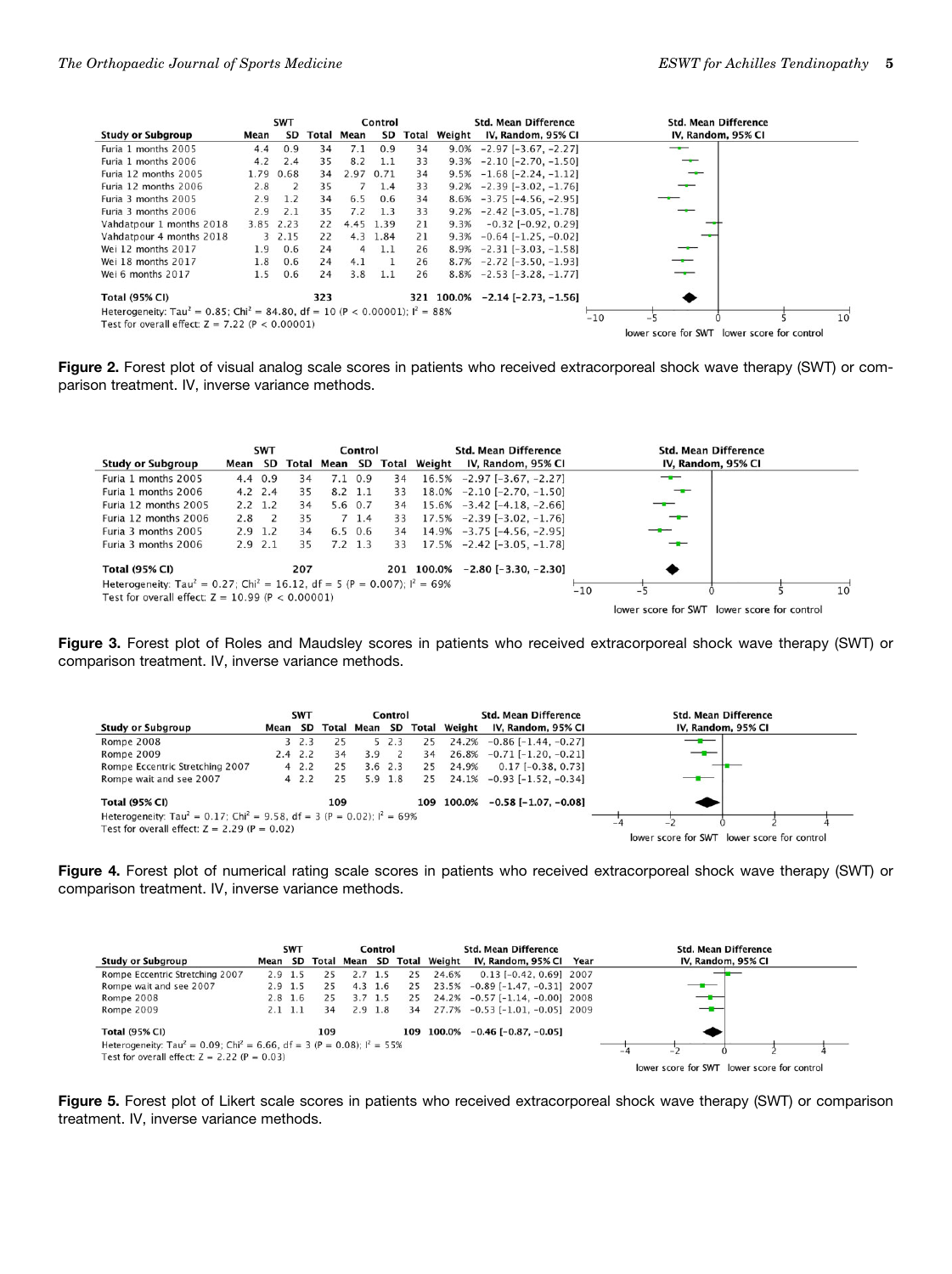| <b>SWT</b><br>Control                                                                                 |           |           |     |            |           |       |        | <b>Std. Mean Difference</b>              | <b>Std. Mean Difference</b>                 |    |  |  |
|-------------------------------------------------------------------------------------------------------|-----------|-----------|-----|------------|-----------|-------|--------|------------------------------------------|---------------------------------------------|----|--|--|
| <b>Study or Subgroup</b>                                                                              | Mean      | <b>SD</b> |     | Total Mean | SD        | Total | Weight | IV, Random, 95% CI                       | IV, Random, 95% CI                          |    |  |  |
| Furia 1 months 2005                                                                                   | 4.4       | 0.9       | 34  | 7.1        | 0.9       | 34    | 9.0%   | $-2.97$ [ $-3.67$ , $-2.27$ ]            | --                                          |    |  |  |
| Furia 1 months 2006                                                                                   | 4.2       | 2.4       | 35  | 8.2        | 1.1       | 33    | 9.3%   | $-2.10$ $[-2.70, -1.50]$                 | –                                           |    |  |  |
| Furia 12 months 2005                                                                                  |           | 1.79 0.68 | 34  | 2.97 0.71  |           | 34    | 9.5%   | $-1.68$ [ $-2.24$ , $-1.12$ ]            |                                             |    |  |  |
| Furia 12 months 2006                                                                                  | 2.8       | 2         | 35  |            | 1.4       | 33    | 9.2%   | $-2.39$ $[-3.02, -1.76]$                 |                                             |    |  |  |
| Furia 3 months 2005                                                                                   | 2.9       | 1.2       | 34  | 6.5        | 0.6       | 34    | 8.6%   | $-3.75$ $[-4.56, -2.95]$                 |                                             |    |  |  |
| Furia 3 months 2006                                                                                   | 2.9       | 2.1       | 35  | 7.2        | 1.3       | 33    | 9.2%   | $-2.42$ [ $-3.05$ , $-1.78$ ]            |                                             |    |  |  |
| Vahdatpour 1 months 2018                                                                              | 3.85 2.23 |           | 22  |            | 4.45 1.39 | 21    | 9.3%   | $-0.32$ $[-0.92, 0.29]$                  |                                             |    |  |  |
| Vahdatpour 4 months 2018                                                                              |           | 3 2.15    | 22  |            | 4.3 1.84  | 21    | 9.3%   | $-0.64$ [ $-1.25$ , $-0.02$ ]            |                                             |    |  |  |
| Wei 12 months 2017                                                                                    | 1.9       | 0.6       | 24  | 4          | 1.1       | 26    |        | $8.9\% -2.31[-3.03, -1.58]$              |                                             |    |  |  |
| Wei 18 months 2017                                                                                    | 1.8       | 0.6       | 24  | 4.1        |           | 26    |        | $8.7\% -2.72[-3.50, -1.93]$              |                                             |    |  |  |
| Wei 6 months 2017                                                                                     | 1.5       | 0.6       | 24  | 3.8        | 1.1       | 26    |        | $8.8\% -2.53 [-3.28, -1.77]$             |                                             |    |  |  |
| <b>Total (95% CI)</b>                                                                                 |           |           | 323 |            |           |       |        | $321$ $100.0\%$ $-2.14$ $[-2.73, -1.56]$ |                                             |    |  |  |
| Heterogeneity: Tau <sup>2</sup> = 0.85; Chi <sup>2</sup> = 84.80, df = 10 (P < 0.00001); $I^2 = 88\%$ |           |           |     |            |           |       |        |                                          | $-10$                                       | 10 |  |  |
| Test for overall effect: $Z = 7.22$ (P < 0.00001)                                                     |           |           |     |            |           |       |        |                                          | — <b>.</b>                                  |    |  |  |
|                                                                                                       |           |           |     |            |           |       |        |                                          | lower score for SWT lower score for control |    |  |  |

Figure 2. Forest plot of visual analog scale scores in patients who received extracorporeal shock wave therapy (SWT) or comparison treatment. IV, inverse variance methods.

|                                                                                                            |      | <b>SWT</b>  |       |         | Control         |       |        | <b>Std. Mean Difference</b>     |       |                                             | <b>Std. Mean Difference</b> |    |
|------------------------------------------------------------------------------------------------------------|------|-------------|-------|---------|-----------------|-------|--------|---------------------------------|-------|---------------------------------------------|-----------------------------|----|
| <b>Study or Subgroup</b>                                                                                   | Mean | SD          | Total | Mean SD |                 | Total | Weight | IV, Random, 95% CI              |       |                                             | IV, Random, 95% CI          |    |
| Furia 1 months 2005                                                                                        |      | 4.4 0.9     | 34    |         | $7.1 \t0.9$     | 34    |        | $16.5\% -2.97[-3.67, -2.27]$    |       | --                                          |                             |    |
| Furia 1 months 2006                                                                                        |      | $4.2$ 2.4   | 35    |         | $8.2 \quad 1.1$ | 33    |        | $18.0\% -2.10[-2.70, -1.50]$    |       |                                             |                             |    |
| Furia 12 months 2005                                                                                       |      | $2.2 \t1.2$ | 34    |         | 5.6 0.7         | 34    |        | $15.6\% -3.42$ [-4.18, -2.66]   |       |                                             |                             |    |
| Furia 12 months 2006                                                                                       | 2.8  | 2           | 35    |         | $7\;1.4$        | 33    |        | $17.5\% -2.39[-3.02, -1.76]$    |       | $-$                                         |                             |    |
| Furia 3 months 2005                                                                                        |      | $2.9$ 1.2   | 34    |         | $6.5 \t0.6$     | 34    |        | $14.9\% -3.75$ [-4.56, -2.95]   |       |                                             |                             |    |
| Furia 3 months 2006                                                                                        |      | $2.9$ $2.1$ | 35    |         | $7.2 \t1.3$     | 33    |        | $17.5\% -2.42$ [-3.05, -1.78]   |       | --                                          |                             |    |
| <b>Total (95% CI)</b>                                                                                      |      |             | 207   |         |                 |       |        | 201 100.0% -2.80 [-3.30, -2.30] |       |                                             |                             |    |
| Heterogeneity: Tau <sup>2</sup> = 0.27; Chi <sup>2</sup> = 16.12, df = 5 (P = 0.007); l <sup>2</sup> = 69% |      |             |       |         |                 |       |        |                                 | $-10$ |                                             |                             | 10 |
| Test for overall effect: $Z = 10.99$ (P < 0.00001)                                                         |      |             |       |         |                 |       |        |                                 |       |                                             |                             |    |
|                                                                                                            |      |             |       |         |                 |       |        |                                 |       | lower score for SWT lower score for control |                             |    |

Figure 3. Forest plot of Roles and Maudsley scores in patients who received extracorporeal shock wave therapy (SWT) or comparison treatment. IV, inverse variance methods.

|                                                                                                                                                   |      | <b>SWT</b> |     |                     | Control   |     |        | <b>Std. Mean Difference</b>   | <b>Std. Mean Difference</b>                 |
|---------------------------------------------------------------------------------------------------------------------------------------------------|------|------------|-----|---------------------|-----------|-----|--------|-------------------------------|---------------------------------------------|
| <b>Study or Subgroup</b>                                                                                                                          | Mean | SD         |     | Total Mean SD Total |           |     | Weight | IV, Random, 95% CI            | IV, Random, 95% CI                          |
| <b>Rompe 2008</b>                                                                                                                                 |      | 32.3       | 25  |                     | 52.3      | 25  | 24.2%  | $-0.86$ [ $-1.44$ , $-0.27$ ] |                                             |
| Rompe 2009                                                                                                                                        |      | $2.4$ 2.2  | 34  | 3.9                 |           | 34  | 26.8%  | $-0.71$ $[-1.20, -0.21]$      | —                                           |
| Rompe Eccentric Stretching 2007                                                                                                                   |      | 42.2       | 25  |                     | $3.6$ 2.3 | 25  | 24.9%  | $0.17$ [-0.38, 0.73]          |                                             |
| Rompe wait and see 2007                                                                                                                           |      | 42.2       | 25  |                     | $5.9$ 1.8 | 25  |        | $24.1\% -0.93$ [-1.52, -0.34] |                                             |
| <b>Total (95% CI)</b>                                                                                                                             |      |            | 109 |                     |           | 109 | 100.0% | $-0.58$ [ $-1.07$ , $-0.08$ ] |                                             |
| Heterogeneity: Tau <sup>2</sup> = 0.17; Chi <sup>2</sup> = 9.58, df = 3 (P = 0.02): $I^2$ = 69%<br>Test for overall effect: $Z = 2.29$ (P = 0.02) |      |            |     |                     |           |     |        |                               | Ξ.                                          |
|                                                                                                                                                   |      |            |     |                     |           |     |        |                               | lower score for SWT lower score for control |

Figure 4. Forest plot of numerical rating scale scores in patients who received extracorporeal shock wave therapy (SWT) or comparison treatment. IV, inverse variance methods.

|                                                                                                 | <b>SWT</b> |             |     | Control               |     | <b>Std. Mean Difference</b> |              |                                 | <b>Std. Mean Difference</b> |                                             |                    |  |
|-------------------------------------------------------------------------------------------------|------------|-------------|-----|-----------------------|-----|-----------------------------|--------------|---------------------------------|-----------------------------|---------------------------------------------|--------------------|--|
| <b>Study or Subgroup</b>                                                                        |            |             |     | Mean SD Total Mean SD |     |                             | Total Weight | IV, Random, 95% CI Year         |                             |                                             | IV, Random, 95% CI |  |
| Rompe Eccentric Stretching 2007                                                                 |            | $2.9$ 1.5   | 25  | 2.7                   | 1.5 | 25                          | 24.6%        | $0.13$ $[-0.42, 0.69]$ 2007     |                             |                                             |                    |  |
| Rompe wait and see 2007                                                                         |            | $2.9$ 1.5   | 25  | $4.3 \t1.6$           |     | 25                          | 23.5%        | $-0.89$ [ $-1.47, -0.31$ ] 2007 |                             |                                             |                    |  |
| Rompe 2008                                                                                      |            | $2.8$ 1.6   | 25  | $3.7$ 1.5             |     | 25                          |              | 24.2% -0.57 [-1.14, -0.00] 2008 |                             | ––                                          |                    |  |
| Rompe 2009                                                                                      |            | $2.1 \t1.1$ | 34  | $2.9$ 1.8             |     | 34                          |              | 27.7% -0.53 [-1.01, -0.05] 2009 |                             | — <del>—</del>                              |                    |  |
| <b>Total (95% CI)</b>                                                                           |            |             | 109 |                       |     | 109                         | 100.0%       | $-0.46$ [ $-0.87, -0.05$ ]      |                             |                                             |                    |  |
| Heterogeneity: Tau <sup>2</sup> = 0.09; Chi <sup>2</sup> = 6.66, df = 3 (P = 0.08); $I^2$ = 55% |            |             |     |                       |     |                             |              |                                 |                             | $\overline{\phantom{a}}$                    |                    |  |
| Test for overall effect: $Z = 2.22$ (P = 0.03)                                                  |            |             |     |                       |     |                             |              |                                 |                             |                                             |                    |  |
|                                                                                                 |            |             |     |                       |     |                             |              |                                 |                             | lower score for SWT lower score for control |                    |  |

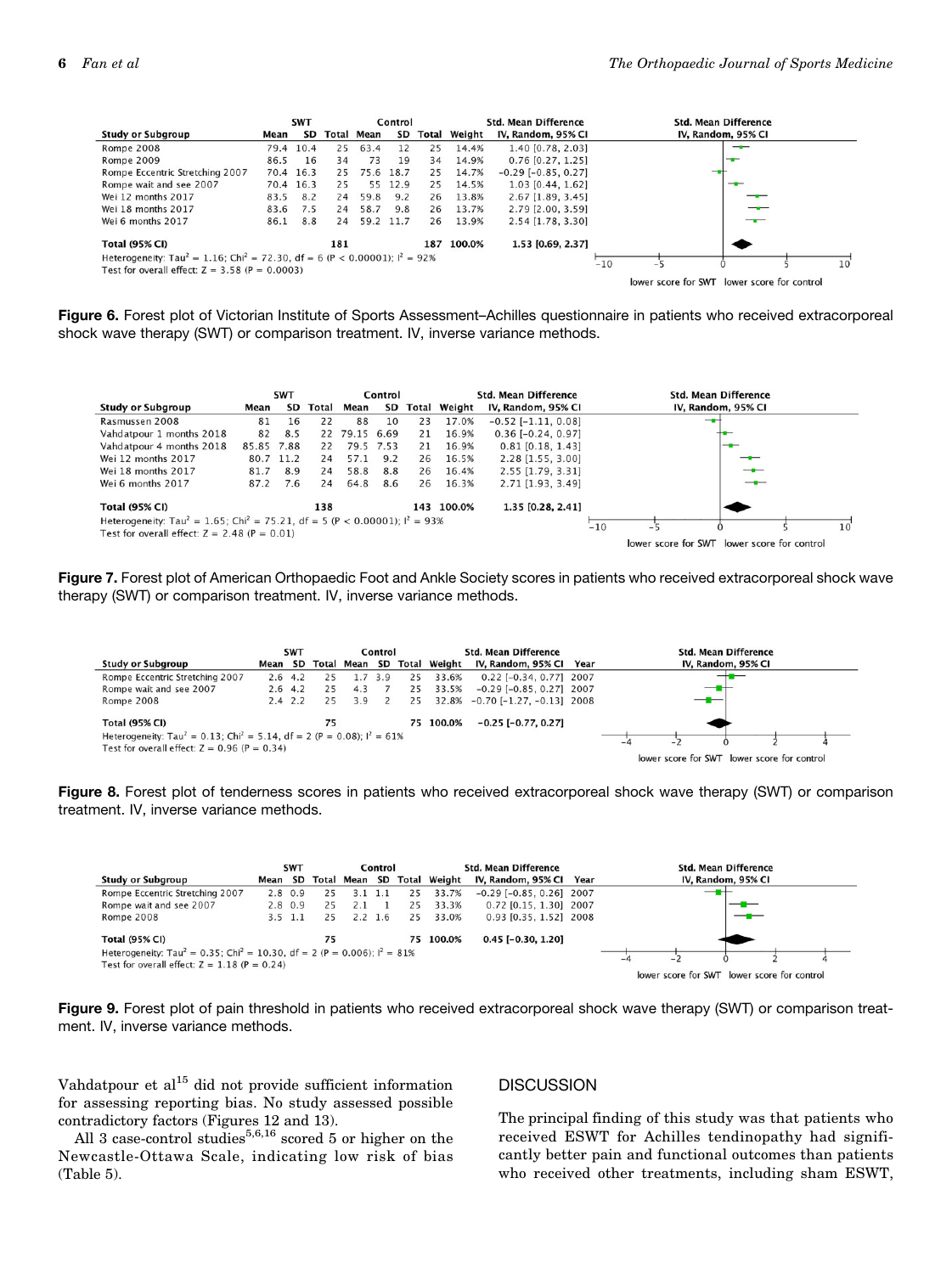|                                                                                                     |      |           | Control |                   | <b>Std. Mean Difference</b> |              |        | <b>Std. Mean Difference</b> |       |                     |                    |                         |    |
|-----------------------------------------------------------------------------------------------------|------|-----------|---------|-------------------|-----------------------------|--------------|--------|-----------------------------|-------|---------------------|--------------------|-------------------------|----|
| <b>Study or Subgroup</b>                                                                            | Mean | SD        |         | <b>Total Mean</b> | SD                          | <b>Total</b> | Weight | IV, Random, 95% CI          |       |                     | IV, Random, 95% CI |                         |    |
| <b>Rompe 2008</b>                                                                                   |      | 79.4 10.4 | 25      | 63.4              | 12                          | 25           | 14.4%  | 1.40 [0.78, 2.03]           |       |                     | --                 |                         |    |
| Rompe 2009                                                                                          | 86.5 | 16        | 34      | 73                | 19                          | 34           | 14.9%  | $0.76$ [0.27, 1.25]         |       |                     | ÷                  |                         |    |
| Rompe Eccentric Stretching 2007                                                                     |      | 70.4 16.3 | 25      | 75.6              | 18.7                        | 25           | 14.7%  | $-0.29$ [ $-0.85, 0.27$ ]   |       |                     |                    |                         |    |
| Rompe wait and see 2007                                                                             |      | 70.4 16.3 | 25      |                   | 55 12.9                     | 25           | 14.5%  | 1.03 [0.44, 1.62]           |       |                     | $-$                |                         |    |
| Wei 12 months 2017                                                                                  | 83.5 | 8.2       | 24      | 59.8              | 9.2                         | 26           | 13.8%  | 2.67 [1.89, 3.45]           |       |                     |                    |                         |    |
| Wei 18 months 2017                                                                                  | 83.6 | 7.5       | 24      | 58.7              | 9.8                         | 26           | 13.7%  | 2.79 [2.00, 3.59]           |       |                     |                    |                         |    |
| Wei 6 months 2017                                                                                   | 86.1 | 8.8       | 24      | 59.2 11.7         |                             | 26           | 13.9%  | 2.54 [1.78, 3.30]           |       |                     | ——                 |                         |    |
| <b>Total (95% CI)</b>                                                                               |      |           | 181     |                   |                             | 187          | 100.0% | 1.53 [0.69, 2.37]           |       |                     |                    |                         |    |
| Heterogeneity: Tau <sup>2</sup> = 1.16; Chi <sup>2</sup> = 72.30, df = 6 (P < 0.00001): $I^2$ = 92% |      |           |         |                   |                             |              |        |                             | $-10$ |                     |                    |                         | 10 |
| Test for overall effect: $Z = 3.58$ (P = 0.0003)                                                    |      |           |         |                   |                             |              |        |                             |       |                     |                    |                         |    |
|                                                                                                     |      |           |         |                   |                             |              |        |                             |       | lower score for SWT |                    | lower score for control |    |

Figure 6. Forest plot of Victorian Institute of Sports Assessment–Achilles questionnaire in patients who received extracorporeal shock wave therapy (SWT) or comparison treatment. IV, inverse variance methods.

|                                                                                                     |            | <b>SWT</b> |       |               | Control   |    |                     | <b>Std. Mean Difference</b> |       |                                             | <b>Std. Mean Difference</b> |              |
|-----------------------------------------------------------------------------------------------------|------------|------------|-------|---------------|-----------|----|---------------------|-----------------------------|-------|---------------------------------------------|-----------------------------|--------------|
| <b>Study or Subgroup</b>                                                                            | Mean       | SD         | Total | Mean          | SD        |    | <b>Total Weight</b> | IV, Random, 95% CI          |       |                                             | IV, Random, 95% CI          |              |
| Rasmussen 2008                                                                                      | 81         | 16         | 22    | 88            | 10        | 23 | 17.0%               | $-0.52$ [ $-1.11, 0.08$ ]   |       |                                             | -                           |              |
| Vahdatpour 1 months 2018                                                                            | 82         | 8.5        |       | 22 79.15 6.69 |           | 21 | 16.9%               | $0.36$ $[-0.24, 0.97]$      |       |                                             |                             |              |
| Vahdatpour 4 months 2018                                                                            | 85.85 7.88 |            | 22    |               | 79.5 7.53 | 21 | 16.9%               | $0.81$ [0.18, 1.43]         |       |                                             | $-$                         |              |
| Wei 12 months 2017                                                                                  |            | 80.7 11.2  | 24    | 57.1          | 9.2       | 26 | 16.5%               | $2.28$ [1.55, 3.00]         |       |                                             |                             |              |
| Wei 18 months 2017                                                                                  | 81.7       | 8.9        | 24    | 58.8          | 8.8       | 26 | 16.4%               | 2.55 [1.79, 3.31]           |       |                                             | ╼╾                          |              |
| Wei 6 months 2017                                                                                   | 87.2       | 7.6        | 24    | 64.8          | 8.6       | 26 | 16.3%               | 2.71 [1.93, 3.49]           |       |                                             | —                           |              |
| <b>Total (95% CI)</b>                                                                               |            |            | 138   |               |           |    | 143 100.0%          | 1.35 [0.28, 2.41]           |       |                                             |                             |              |
| Heterogeneity: Tau <sup>2</sup> = 1.65; Chi <sup>2</sup> = 75.21, df = 5 (P < 0.00001); $I^2$ = 93% |            |            |       |               |           |    |                     |                             |       |                                             |                             | $10^{\circ}$ |
| Test for overall effect: $Z = 2.48$ (P = 0.01)                                                      |            |            |       |               |           |    |                     |                             | $-10$ | - -                                         |                             |              |
|                                                                                                     |            |            |       |               |           |    |                     |                             |       | lower score for SWT lower score for control |                             |              |

Figure 7. Forest plot of American Orthopaedic Foot and Ankle Society scores in patients who received extracorporeal shock wave therapy (SWT) or comparison treatment. IV, inverse variance methods.



Figure 8. Forest plot of tenderness scores in patients who received extracorporeal shock wave therapy (SWT) or comparison treatment. IV, inverse variance methods.

|                                                                                                                                                      |      | <b>SWT</b>    |    |     | Control     |    |                            | <b>Std. Mean Difference</b>  | <b>Std. Mean Difference</b>                 |  |  |  |
|------------------------------------------------------------------------------------------------------------------------------------------------------|------|---------------|----|-----|-------------|----|----------------------------|------------------------------|---------------------------------------------|--|--|--|
| <b>Study or Subgroup</b>                                                                                                                             | Mean | SD            |    |     |             |    | Total Mean SD Total Weight | IV, Random, 95% Cl Year      | IV, Random, 95% CI                          |  |  |  |
| Rompe Eccentric Stretching 2007                                                                                                                      |      | $2.8 \t0.9$   | 25 | 3.1 | 1.1         | 25 | 33.7%                      | $-0.29$ $[-0.85, 0.26]$ 2007 | $\frac{1}{2}$                               |  |  |  |
| Rompe wait and see 2007                                                                                                                              |      | $2.8\quad0.9$ | 25 | 2.1 |             | 25 | 33.3%                      | 0.72 [0.15, 1.30] 2007       |                                             |  |  |  |
| Rompe 2008                                                                                                                                           |      | 3.5 1.1       | 25 |     | $2.2 \t1.6$ | 25 | 33.0%                      | 0.93 [0.35, 1.52] 2008       |                                             |  |  |  |
| <b>Total (95% CI)</b>                                                                                                                                |      |               | 75 |     |             |    | 75 100.0%                  | $0.45$ [-0.30, 1.20]         |                                             |  |  |  |
| Heterogeneity: Tau <sup>2</sup> = 0.35; Chi <sup>2</sup> = 10.30, df = 2 (P = 0.006); $I^2 = 81\%$<br>Test for overall effect: $Z = 1.18$ (P = 0.24) |      |               |    |     |             |    |                            |                              |                                             |  |  |  |
|                                                                                                                                                      |      |               |    |     |             |    |                            |                              | lower score for SWT lower score for control |  |  |  |

Figure 9. Forest plot of pain threshold in patients who received extracorporeal shock wave therapy (SWT) or comparison treatment. IV, inverse variance methods.

Vahdatpour et  $al^{15}$  did not provide sufficient information for assessing reporting bias. No study assessed possible contradictory factors (Figures 12 and 13).

All 3 case-control studies<sup>5,6,16</sup> scored 5 or higher on the Newcastle-Ottawa Scale, indicating low risk of bias (Table 5).

#### **DISCUSSION**

The principal finding of this study was that patients who received ESWT for Achilles tendinopathy had significantly better pain and functional outcomes than patients who received other treatments, including sham ESWT,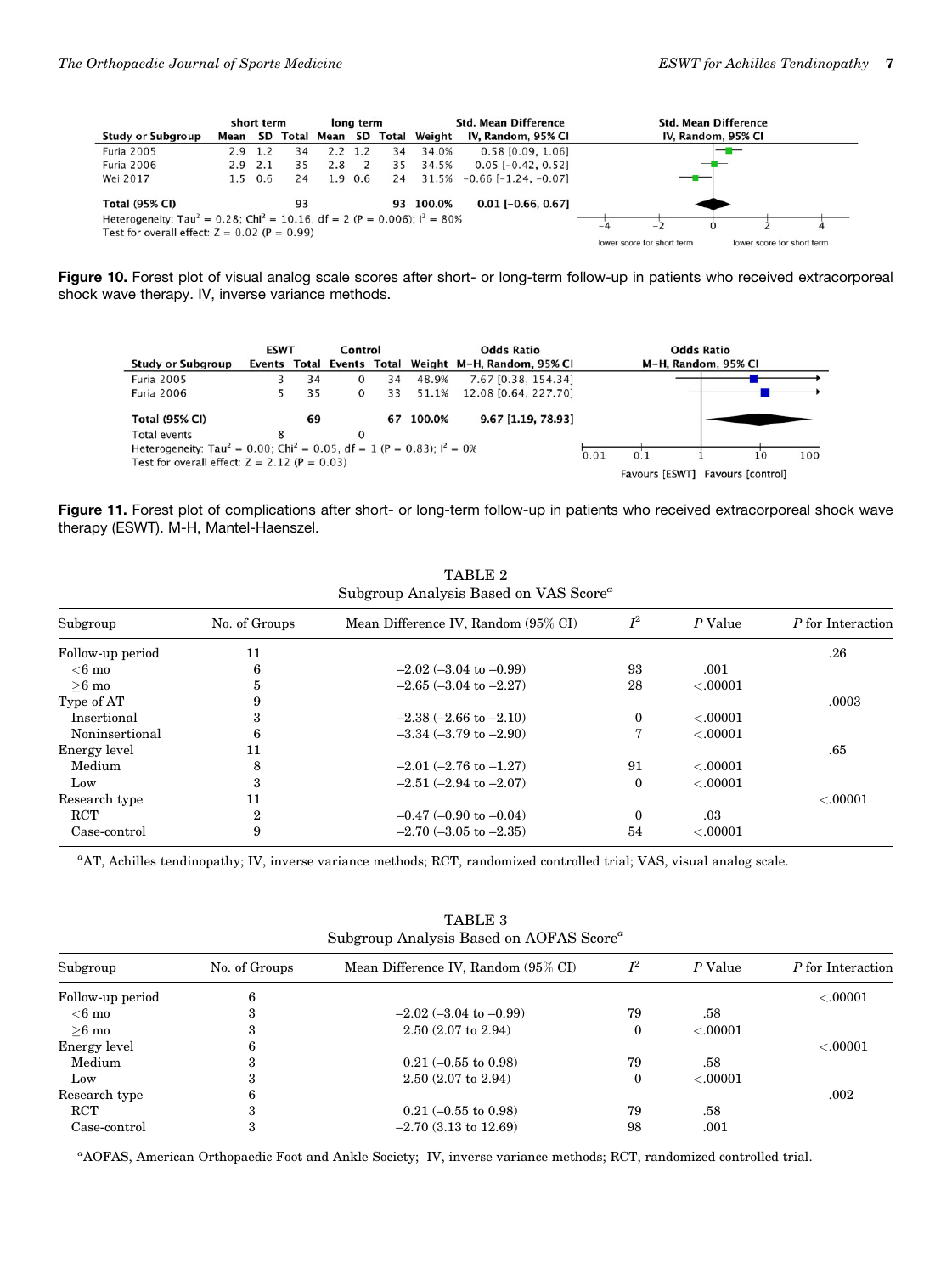|                                                                                                   |             | short term  |    |     | long term       |    |                            | <b>Std. Mean Difference</b>   | <b>Std. Mean Difference</b> |                            |  |                            |  |
|---------------------------------------------------------------------------------------------------|-------------|-------------|----|-----|-----------------|----|----------------------------|-------------------------------|-----------------------------|----------------------------|--|----------------------------|--|
| <b>Study or Subgroup</b>                                                                          | Mean        | <b>SD</b>   |    |     |                 |    | Total Mean SD Total Weight | IV, Random, 95% CI            |                             |                            |  | IV, Random, 95% CI         |  |
| <b>Furia 2005</b>                                                                                 | $2.9$ 1.2   |             | 34 |     | $2.2 \quad 1.2$ | 34 | 34.0%                      | 0.58 [0.09, 1.06]             |                             |                            |  | ——                         |  |
| <b>Furia 2006</b>                                                                                 | $2.9$ $2.1$ |             | 35 | 2.8 |                 | 35 | 34.5%                      | $0.05$ [-0.42, 0.52]          |                             |                            |  |                            |  |
| Wei 2017                                                                                          |             | $1.5 \t0.6$ | 24 |     | 1.9 0.6         | 24 | 31.5%                      | $-0.66$ [ $-1.24$ . $-0.07$ ] |                             |                            |  |                            |  |
| <b>Total (95% CI)</b>                                                                             |             |             | 93 |     |                 |    | 93 100.0%                  | $0.01$ [-0.66, 0.67]          |                             |                            |  |                            |  |
| Heterogeneity: Tau <sup>2</sup> = 0.28; Chi <sup>2</sup> = 10.16, df = 2 (P = 0.006); $I^2$ = 80% |             |             |    |     |                 |    |                            |                               |                             |                            |  |                            |  |
| Test for overall effect: $Z = 0.02$ (P = 0.99)                                                    |             |             |    |     |                 |    |                            |                               |                             |                            |  |                            |  |
|                                                                                                   |             |             |    |     |                 |    |                            |                               |                             | lower score for short term |  | lower score for short term |  |

Figure 10. Forest plot of visual analog scale scores after short- or long-term follow-up in patients who received extracorporeal shock wave therapy. IV, inverse variance methods.



Figure 11. Forest plot of complications after short- or long-term follow-up in patients who received extracorporeal shock wave therapy (ESWT). M-H, Mantel-Haenszel.

| TABLE 2<br>Subgroup Analysis Based on VAS Score <sup>a</sup> |               |                                     |              |           |                   |  |  |  |  |  |  |
|--------------------------------------------------------------|---------------|-------------------------------------|--------------|-----------|-------------------|--|--|--|--|--|--|
| Subgroup                                                     | No. of Groups | Mean Difference IV, Random (95% CI) | $I^2$        | $P$ Value | P for Interaction |  |  |  |  |  |  |
| Follow-up period                                             | 11            |                                     |              |           | .26               |  |  |  |  |  |  |
| $<$ 6 mo                                                     | 6             | $-2.02$ ( $-3.04$ to $-0.99$ )      | 93           | .001      |                   |  |  |  |  |  |  |
| $>6$ mo                                                      | 5             | $-2.65$ $(-3.04$ to $-2.27)$        | 28           | < .00001  |                   |  |  |  |  |  |  |
| Type of AT                                                   | 9             |                                     |              |           | .0003             |  |  |  |  |  |  |
| Insertional                                                  | 3             | $-2.38$ $(-2.66$ to $-2.10)$        | $\mathbf{0}$ | < .00001  |                   |  |  |  |  |  |  |
| Noninsertional                                               | 6             | $-3.34 (-3.79$ to $-2.90$ )         | 7            | < .00001  |                   |  |  |  |  |  |  |
| Energy level                                                 | 11            |                                     |              |           | .65               |  |  |  |  |  |  |
| Medium                                                       | 8             | $-2.01$ $(-2.76$ to $-1.27)$        | 91           | < .00001  |                   |  |  |  |  |  |  |
| Low                                                          | 3             | $-2.51(-2.94 \text{ to } -2.07)$    | $\Omega$     | < .00001  |                   |  |  |  |  |  |  |
| Research type                                                | 11            |                                     |              |           | < .00001          |  |  |  |  |  |  |
| RCT                                                          | 2             | $-0.47$ $(-0.90$ to $-0.04)$        | $\Omega$     | .03       |                   |  |  |  |  |  |  |
| Case-control                                                 | 9             | $-2.70$ $(-3.05$ to $-2.35)$        | 54           | < .00001  |                   |  |  |  |  |  |  |

 $TATB$ 

a AT, Achilles tendinopathy; IV, inverse variance methods; RCT, randomized controlled trial; VAS, visual analog scale.

| Subgroup Analysis Based on AOFAS Score" |               |                                     |       |           |                   |  |  |  |  |  |  |  |
|-----------------------------------------|---------------|-------------------------------------|-------|-----------|-------------------|--|--|--|--|--|--|--|
| Subgroup                                | No. of Groups | Mean Difference IV, Random (95% CI) | $I^2$ | P Value   | P for Interaction |  |  |  |  |  |  |  |
| Follow-up period                        | 6             |                                     |       |           | < .00001          |  |  |  |  |  |  |  |
| $<$ 6 mo                                | з             | $-2.02$ ( $-3.04$ to $-0.99$ )      | 79    | .58       |                   |  |  |  |  |  |  |  |
| $>6$ mo                                 | Ő.            | $2.50(2.07 \text{ to } 2.94)$       | 0     | < 0.00001 |                   |  |  |  |  |  |  |  |
| Energy level                            | 6             |                                     |       |           | < .00001          |  |  |  |  |  |  |  |
| Medium                                  | 3             | $0.21 (-0.55 \text{ to } 0.98)$     | 79    | .58       |                   |  |  |  |  |  |  |  |
| Low                                     | 3             | $2.50(2.07 \text{ to } 2.94)$       | 0     | < 0.0001  |                   |  |  |  |  |  |  |  |
| Research type                           | 6             |                                     |       |           | .002              |  |  |  |  |  |  |  |
| <b>RCT</b>                              | 3             | $0.21 (-0.55 \text{ to } 0.98)$     | 79    | .58       |                   |  |  |  |  |  |  |  |
| Case-control                            | 3             | $-2.70(3.13 \text{ to } 12.69)$     | 98    | .001      |                   |  |  |  |  |  |  |  |

TABLE 3 Subgroup Analysis Based on AOFAS Score<sup>a</sup>

a AOFAS, American Orthopaedic Foot and Ankle Society; IV, inverse variance methods; RCT, randomized controlled trial.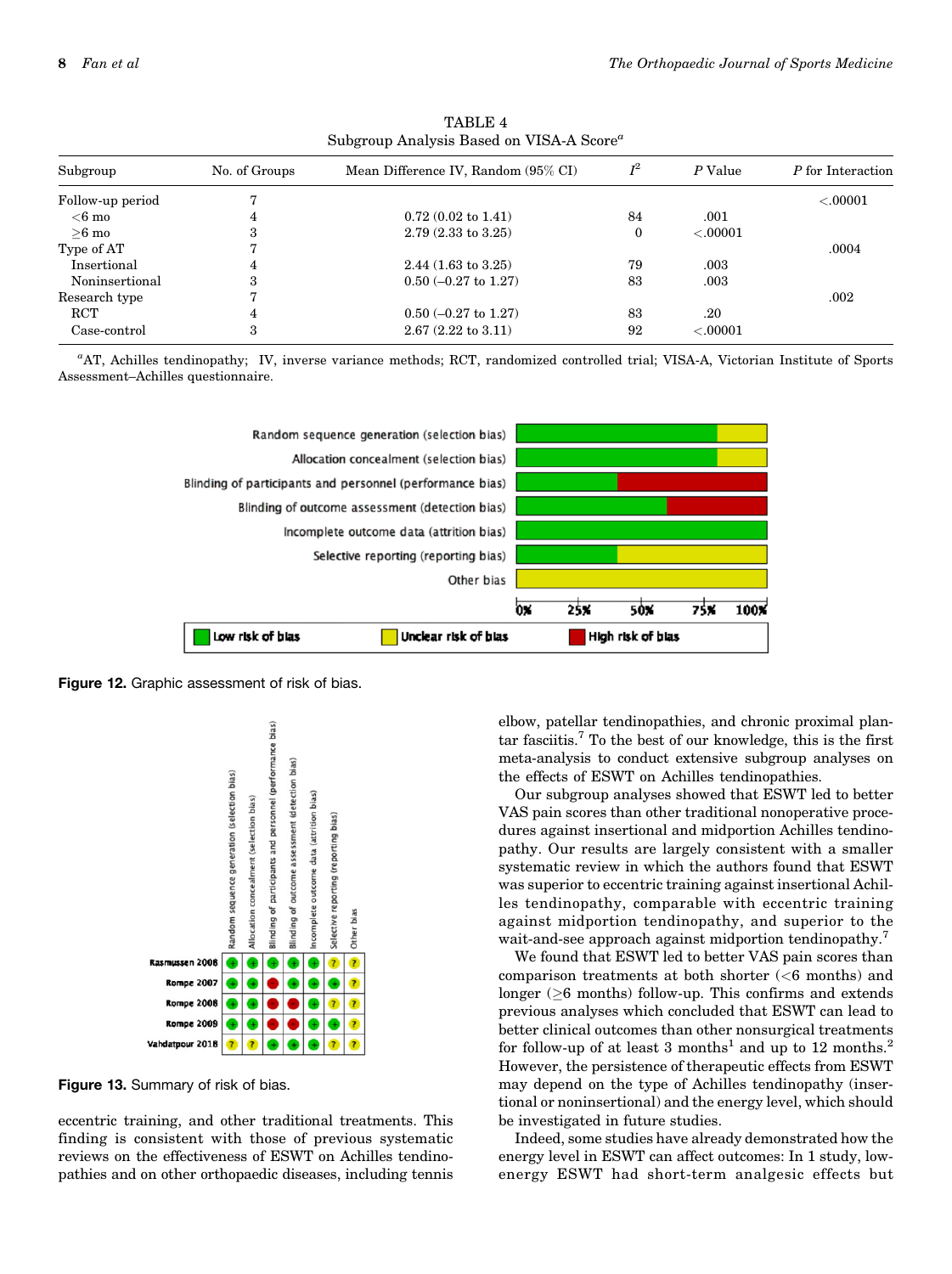| Subgroup         | No. of Groups | Mean Difference IV, Random (95% CI) | $I^2$ | P Value  | P for Interaction |
|------------------|---------------|-------------------------------------|-------|----------|-------------------|
| Follow-up period |               |                                     |       |          | < .00001          |
| $<$ 6 mo         | 4             | $0.72(0.02 \text{ to } 1.41)$       | 84    | .001     |                   |
| $>6$ mo          |               | $2.79(2.33 \text{ to } 3.25)$       | 0     | < .00001 |                   |
| Type of AT       |               |                                     |       |          | .0004             |
| Insertional      | 4             | $2.44(1.63 \text{ to } 3.25)$       | 79    | .003     |                   |
| Noninsertional   |               | $0.50$ (-0.27 to 1.27)              | 83    | .003     |                   |
| Research type    |               |                                     |       |          | .002              |
| <b>RCT</b>       | 4             | $0.50$ (-0.27 to 1.27)              | 83    | .20      |                   |
| Case-control     | 3             | $2.67(2.22 \text{ to } 3.11)$       | 92    | < .00001 |                   |

TABLE 4 Subgroup Analysis Based on VISA-A Score<sup>a</sup>

a AT, Achilles tendinopathy; IV, inverse variance methods; RCT, randomized controlled trial; VISA-A, Victorian Institute of Sports Assessment–Achilles questionnaire.



Figure 12. Graphic assessment of risk of bias.



Figure 13. Summary of risk of bias.

eccentric training, and other traditional treatments. This finding is consistent with those of previous systematic reviews on the effectiveness of ESWT on Achilles tendinopathies and on other orthopaedic diseases, including tennis

elbow, patellar tendinopathies, and chronic proximal plantar fasciitis.7 To the best of our knowledge, this is the first meta-analysis to conduct extensive subgroup analyses on the effects of ESWT on Achilles tendinopathies.

Our subgroup analyses showed that ESWT led to better VAS pain scores than other traditional nonoperative procedures against insertional and midportion Achilles tendinopathy. Our results are largely consistent with a smaller systematic review in which the authors found that ESWT was superior to eccentric training against insertional Achilles tendinopathy, comparable with eccentric training against midportion tendinopathy, and superior to the wait-and-see approach against midportion tendinopathy.<sup>7</sup>

We found that ESWT led to better VAS pain scores than comparison treatments at both shorter (<6 months) and longer ( $\geq$ 6 months) follow-up. This confirms and extends previous analyses which concluded that ESWT can lead to better clinical outcomes than other nonsurgical treatments for follow-up of at least 3 months<sup>1</sup> and up to 12 months.<sup>2</sup> However, the persistence of therapeutic effects from ESWT may depend on the type of Achilles tendinopathy (insertional or noninsertional) and the energy level, which should be investigated in future studies.

Indeed, some studies have already demonstrated how the energy level in ESWT can affect outcomes: In 1 study, lowenergy ESWT had short-term analgesic effects but